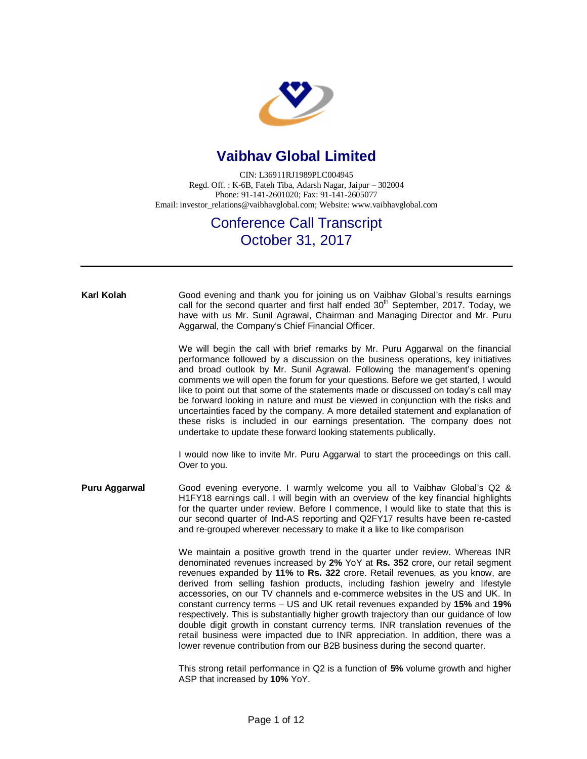

## **Vaibhav Global Limited**

CIN: L36911RJ1989PLC004945 Regd. Off. : K-6B, Fateh Tiba, Adarsh Nagar, Jaipur – 302004 Phone: 91-141-2601020; Fax: 91-141-2605077 Email: [investor\\_relations@vaibhavglobal.com;](mailto:investor_relations@vaibhavglobal.com;) Website: [www.vaibhavglobal.com](http://www.vaibhavglobal.com)

## Conference Call Transcript October 31, 2017

## **Karl Kolah** Good evening and thank you for joining us on Vaibhav Global's results earnings call for the second quarter and first half ended  $30<sup>th</sup>$  September, 2017. Today, we have with us Mr. Sunil Agrawal, Chairman and Managing Director and Mr. Puru Aggarwal, the Company's Chief Financial Officer. We will begin the call with brief remarks by Mr. Puru Aggarwal on the financial performance followed by a discussion on the business operations, key initiatives and broad outlook by Mr. Sunil Agrawal. Following the management's opening comments we will open the forum for your questions. Before we get started, I would like to point out that some of the statements made or discussed on today's call may be forward looking in nature and must be viewed in conjunction with the risks and uncertainties faced by the company. A more detailed statement and explanation of these risks is included in our earnings presentation. The company does not undertake to update these forward looking statements publically. I would now like to invite Mr. Puru Aggarwal to start the proceedings on this call. Over to you. **Puru Aggarwal** Good evening everyone. I warmly welcome you all to Vaibhav Global's Q2 & H1FY18 earnings call. I will begin with an overview of the key financial highlights for the quarter under review. Before I commence, I would like to state that this is our second quarter of Ind-AS reporting and Q2FY17 results have been re-casted and re-grouped wherever necessary to make it a like to like comparison We maintain a positive growth trend in the quarter under review. Whereas INR denominated revenues increased by **2%** YoY at **Rs. 352** crore, our retail segment revenues expanded by **11%** to **Rs. 322** crore. Retail revenues, as you know, are derived from selling fashion products, including fashion jewelry and lifestyle accessories, on our TV channels and e-commerce websites in the US and UK. In constant currency terms – US and UK retail revenues expanded by **15%** and **19%** respectively. This is substantially higher growth trajectory than our guidance of low double digit growth in constant currency terms. INR translation revenues of the retail business were impacted due to INR appreciation. In addition, there was a lower revenue contribution from our B2B business during the second quarter. This strong retail performance in Q2 is a function of **5%** volume growth and higher ASP that increased by **10%** YoY.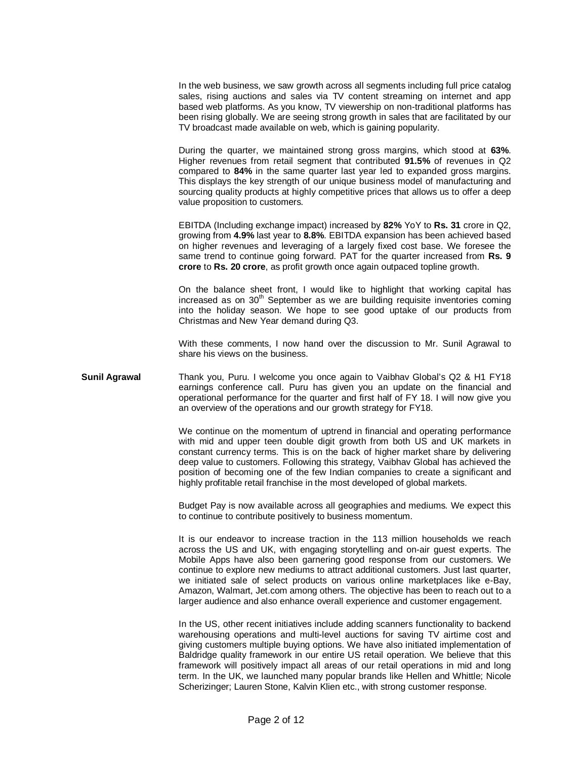In the web business, we saw growth across all segments including full price catalog sales, rising auctions and sales via TV content streaming on internet and app based web platforms. As you know, TV viewership on non-traditional platforms has been rising globally. We are seeing strong growth in sales that are facilitated by our TV broadcast made available on web, which is gaining popularity.

During the quarter, we maintained strong gross margins, which stood at **63%**. Higher revenues from retail segment that contributed **91.5%** of revenues in Q2 compared to **84%** in the same quarter last year led to expanded gross margins. This displays the key strength of our unique business model of manufacturing and sourcing quality products at highly competitive prices that allows us to offer a deep value proposition to customers.

EBITDA (Including exchange impact) increased by **82%** YoY to **Rs. 31** crore in Q2, growing from **4.9%** last year to **8.8%**. EBITDA expansion has been achieved based on higher revenues and leveraging of a largely fixed cost base. We foresee the same trend to continue going forward. PAT for the quarter increased from **Rs. 9 crore** to **Rs. 20 crore**, as profit growth once again outpaced topline growth.

On the balance sheet front, I would like to highlight that working capital has increased as on  $30<sup>th</sup>$  September as we are building requisite inventories coming into the holiday season. We hope to see good uptake of our products from Christmas and New Year demand during Q3.

With these comments, I now hand over the discussion to Mr. Sunil Agrawal to share his views on the business.

**Sunil Agrawal** Thank you, Puru. I welcome you once again to Vaibhav Global's Q2 & H1 FY18 earnings conference call. Puru has given you an update on the financial and operational performance for the quarter and first half of FY 18. I will now give you an overview of the operations and our growth strategy for FY18.

> We continue on the momentum of uptrend in financial and operating performance with mid and upper teen double digit growth from both US and UK markets in constant currency terms. This is on the back of higher market share by delivering deep value to customers. Following this strategy, Vaibhav Global has achieved the position of becoming one of the few Indian companies to create a significant and highly profitable retail franchise in the most developed of global markets.

> Budget Pay is now available across all geographies and mediums. We expect this to continue to contribute positively to business momentum.

> It is our endeavor to increase traction in the 113 million households we reach across the US and UK, with engaging storytelling and on-air guest experts. The Mobile Apps have also been garnering good response from our customers. We continue to explore new mediums to attract additional customers. Just last quarter, we initiated sale of select products on various online marketplaces like e-Bay, Amazon, Walmart, Jet.com among others. The objective has been to reach out to a larger audience and also enhance overall experience and customer engagement.

> In the US, other recent initiatives include adding scanners functionality to backend warehousing operations and multi-level auctions for saving TV airtime cost and giving customers multiple buying options. We have also initiated implementation of Baldridge quality framework in our entire US retail operation. We believe that this framework will positively impact all areas of our retail operations in mid and long term. In the UK, we launched many popular brands like Hellen and Whittle; Nicole Scherizinger; Lauren Stone, Kalvin Klien etc., with strong customer response.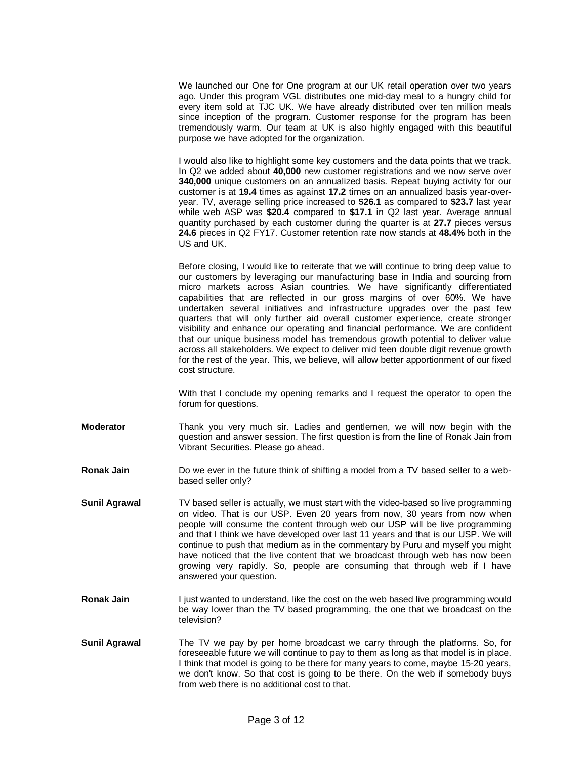We launched our One for One program at our UK retail operation over two years ago. Under this program VGL distributes one mid-day meal to a hungry child for every item sold at TJC UK. We have already distributed over ten million meals since inception of the program. Customer response for the program has been tremendously warm. Our team at UK is also highly engaged with this beautiful purpose we have adopted for the organization.

I would also like to highlight some key customers and the data points that we track. In Q2 we added about **40,000** new customer registrations and we now serve over **340,000** unique customers on an annualized basis. Repeat buying activity for our customer is at **19.4** times as against **17.2** times on an annualized basis year-overyear. TV, average selling price increased to **\$26.1** as compared to **\$23.7** last year while web ASP was **\$20.4** compared to **\$17.1** in Q2 last year. Average annual quantity purchased by each customer during the quarter is at **27.7** pieces versus **24.6** pieces in Q2 FY17. Customer retention rate now stands at **48.4%** both in the US and UK.

Before closing, I would like to reiterate that we will continue to bring deep value to our customers by leveraging our manufacturing base in India and sourcing from micro markets across Asian countries. We have significantly differentiated capabilities that are reflected in our gross margins of over 60%. We have undertaken several initiatives and infrastructure upgrades over the past few quarters that will only further aid overall customer experience, create stronger visibility and enhance our operating and financial performance. We are confident that our unique business model has tremendous growth potential to deliver value across all stakeholders. We expect to deliver mid teen double digit revenue growth for the rest of the year. This, we believe, will allow better apportionment of our fixed cost structure.

With that I conclude my opening remarks and I request the operator to open the forum for questions.

- **Moderator** Thank you very much sir. Ladies and gentlemen, we will now begin with the question and answer session. The first question is from the line of Ronak Jain from Vibrant Securities. Please go ahead.
- **Ronak Jain** Do we ever in the future think of shifting a model from a TV based seller to a webbased seller only?
- **Sunil Agrawal** TV based seller is actually, we must start with the video-based so live programming on video. That is our USP. Even 20 years from now, 30 years from now when people will consume the content through web our USP will be live programming and that I think we have developed over last 11 years and that is our USP. We will continue to push that medium as in the commentary by Puru and myself you might have noticed that the live content that we broadcast through web has now been growing very rapidly. So, people are consuming that through web if I have answered your question.
- **Ronak Jain** I just wanted to understand, like the cost on the web based live programming would be way lower than the TV based programming, the one that we broadcast on the television?
- **Sunil Agrawal** The TV we pay by per home broadcast we carry through the platforms. So, for foreseeable future we will continue to pay to them as long as that model is in place. I think that model is going to be there for many years to come, maybe 15-20 years, we don't know. So that cost is going to be there. On the web if somebody buys from web there is no additional cost to that.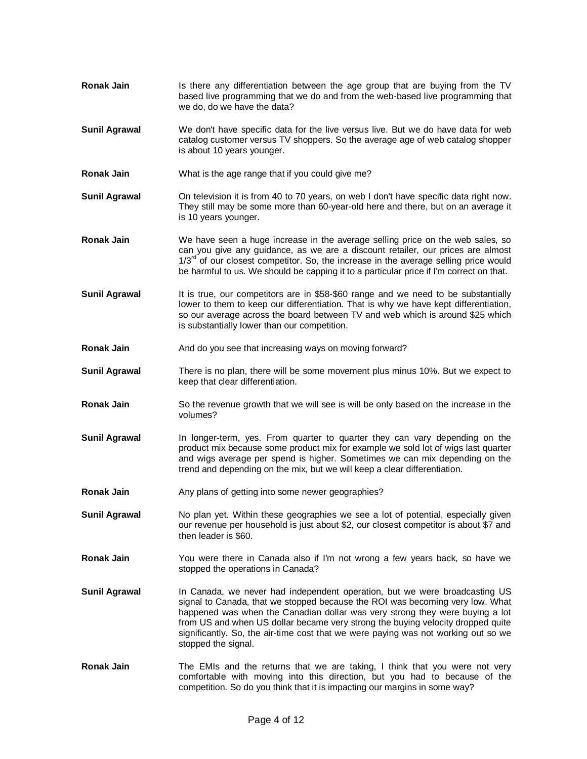- **Ronak Jain** Is there any differentiation between the age group that are buying from the TV based live programming that we do and from the web-based live programming that we do, do we have the data?
- **Sunil Agrawal** We don't have specific data for the live versus live. But we do have data for web catalog customer versus TV shoppers. So the average age of web catalog shopper is about 10 years younger.
- **Ronak Jain** What is the age range that if you could give me?
- **Sunil Agrawal** On television it is from 40 to 70 years, on web I don't have specific data right now. They still may be some more than 60-year-old here and there, but on an average it is 10 years younger.
- **Ronak Jain** We have seen a huge increase in the average selling price on the web sales, so can you give any guidance, as we are a discount retailer, our prices are almost  $1/3^{10}$  of our closest competitor. So, the increase in the average selling price would be harmful to us. We should be capping it to a particular price if I'm correct on that.
- **Sunil Agrawal** It is true, our competitors are in \$58-\$60 range and we need to be substantially lower to them to keep our differentiation. That is why we have kept differentiation, so our average across the board between TV and web which is around \$25 which is substantially lower than our competition.
- **Ronak Jain** And do you see that increasing ways on moving forward?
- **Sunil Agrawal** There is no plan, there will be some movement plus minus 10%. But we expect to keep that clear differentiation.
- **Ronak Jain** So the revenue growth that we will see is will be only based on the increase in the volumes?
- **Sunil Agrawal** In longer-term, yes. From quarter to quarter they can vary depending on the product mix because some product mix for example we sold lot of wigs last quarter and wigs average per spend is higher. Sometimes we can mix depending on the trend and depending on the mix, but we will keep a clear differentiation.
- **Ronak Jain** Any plans of getting into some newer geographies?

**Sunil Agrawal** No plan yet. Within these geographies we see a lot of potential, especially given our revenue per household is just about \$2, our closest competitor is about \$7 and then leader is \$60.

- **Ronak Jain** You were there in Canada also if I'm not wrong a few years back, so have we stopped the operations in Canada?
- **Sunil Agrawal** In Canada, we never had independent operation, but we were broadcasting US signal to Canada, that we stopped because the ROI was becoming very low. What happened was when the Canadian dollar was very strong they were buying a lot from US and when US dollar became very strong the buying velocity dropped quite significantly. So, the air-time cost that we were paying was not working out so we stopped the signal.
- **Ronak Jain** The EMIs and the returns that we are taking, I think that you were not very comfortable with moving into this direction, but you had to because of the competition. So do you think that it is impacting our margins in some way?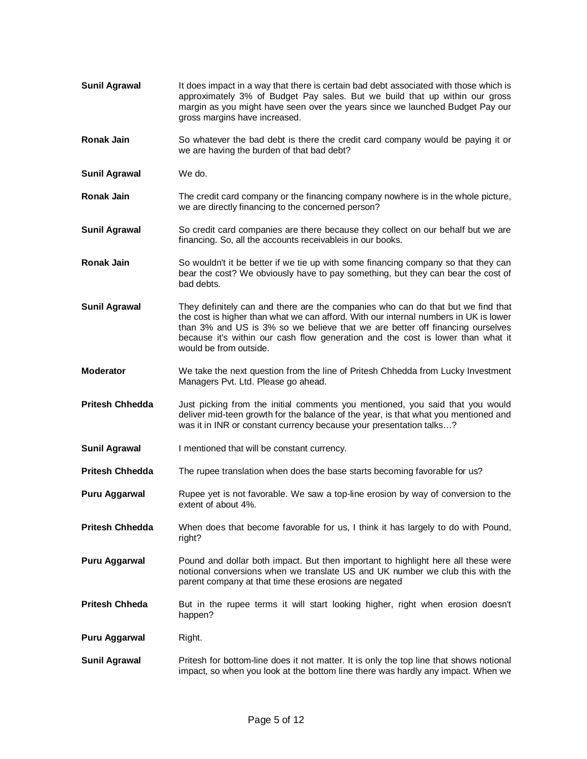- **Sunil Agrawal** It does impact in a way that there is certain bad debt associated with those which is approximately 3% of Budget Pay sales. But we build that up within our gross margin as you might have seen over the years since we launched Budget Pay our gross margins have increased.
- **Ronak Jain** So whatever the bad debt is there the credit card company would be paying it or we are having the burden of that bad debt?
- **Sunil Agrawal** We do.
- **Ronak Jain** The credit card company or the financing company nowhere is in the whole picture, we are directly financing to the concerned person?
- **Sunil Agrawal** So credit card companies are there because they collect on our behalf but we are financing. So, all the accounts receivableis in our books.
- **Ronak Jain** So wouldn't it be better if we tie up with some financing company so that they can bear the cost? We obviously have to pay something, but they can bear the cost of bad debts.
- **Sunil Agrawal** They definitely can and there are the companies who can do that but we find that the cost is higher than what we can afford. With our internal numbers in UK is lower than 3% and US is 3% so we believe that we are better off financing ourselves because it's within our cash flow generation and the cost is lower than what it would be from outside.
- **Moderator** We take the next question from the line of Pritesh Chhedda from Lucky Investment Managers Pvt. Ltd. Please go ahead.
- **Pritesh Chhedda** Just picking from the initial comments you mentioned, you said that you would deliver mid-teen growth for the balance of the year, is that what you mentioned and was it in INR or constant currency because your presentation talks…?
- **Sunil Agrawal** I mentioned that will be constant currency.
- **Pritesh Chhedda** The rupee translation when does the base starts becoming favorable for us?
- **Puru Aggarwal Rupee yet is not favorable. We saw a top-line erosion by way of conversion to the** extent of about 4%.
- **Pritesh Chhedda** When does that become favorable for us, I think it has largely to do with Pound, right?
- **Puru Aggarwal** Pound and dollar both impact. But then important to highlight here all these were notional conversions when we translate US and UK number we club this with the parent company at that time these erosions are negated
- **Pritesh Chheda** But in the rupee terms it will start looking higher, right when erosion doesn't happen?
- **Puru Aggarwal** Right.
- **Sunil Agrawal** Pritesh for bottom-line does it not matter. It is only the top line that shows notional impact, so when you look at the bottom line there was hardly any impact. When we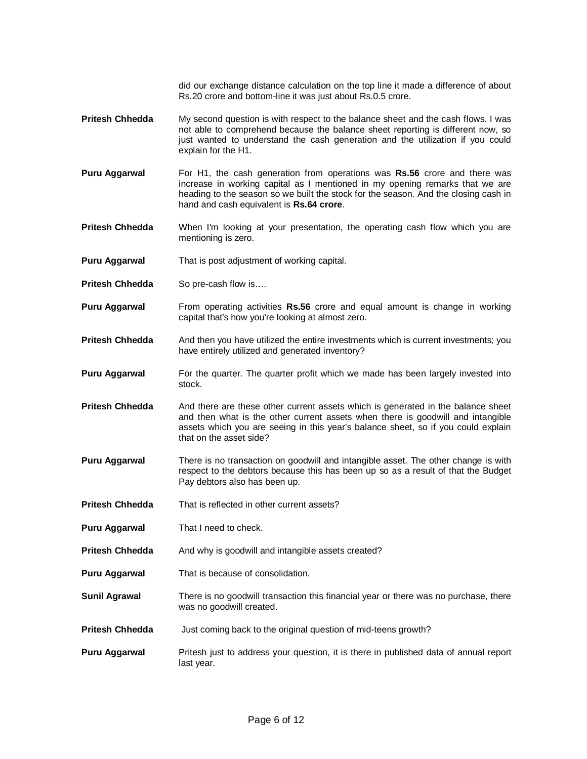did our exchange distance calculation on the top line it made a difference of about Rs.20 crore and bottom-line it was just about Rs.0.5 crore.

- **Pritesh Chhedda** My second question is with respect to the balance sheet and the cash flows. I was not able to comprehend because the balance sheet reporting is different now, so just wanted to understand the cash generation and the utilization if you could explain for the H1.
- **Puru Aggarwal** For H1, the cash generation from operations was **Rs.56** crore and there was increase in working capital as I mentioned in my opening remarks that we are heading to the season so we built the stock for the season. And the closing cash in hand and cash equivalent is **Rs.64 crore**.
- **Pritesh Chhedda** When I'm looking at your presentation, the operating cash flow which you are mentioning is zero.
- **Puru Aggarwal** That is post adjustment of working capital.
- **Pritesh Chhedda** So pre-cash flow is....
- **Puru Aggarwal** From operating activities **Rs.56** crore and equal amount is change in working capital that's how you're looking at almost zero.
- **Pritesh Chhedda** And then you have utilized the entire investments which is current investments; you have entirely utilized and generated inventory?
- **Puru Aggarwal** For the quarter. The quarter profit which we made has been largely invested into stock.
- **Pritesh Chhedda** And there are these other current assets which is generated in the balance sheet and then what is the other current assets when there is goodwill and intangible assets which you are seeing in this year's balance sheet, so if you could explain that on the asset side?
- **Puru Aggarwal** There is no transaction on goodwill and intangible asset. The other change is with respect to the debtors because this has been up so as a result of that the Budget Pay debtors also has been up.
- **Pritesh Chhedda** That is reflected in other current assets?
- **Puru Aggarwal** That I need to check.
- **Pritesh Chhedda** And why is goodwill and intangible assets created?
- **Puru Aggarwal** That is because of consolidation.
- **Sunil Agrawal** There is no goodwill transaction this financial year or there was no purchase, there was no goodwill created.
- **Pritesh Chhedda** Just coming back to the original question of mid-teens growth?
- **Puru Aggarwal** Pritesh just to address your question, it is there in published data of annual report last year.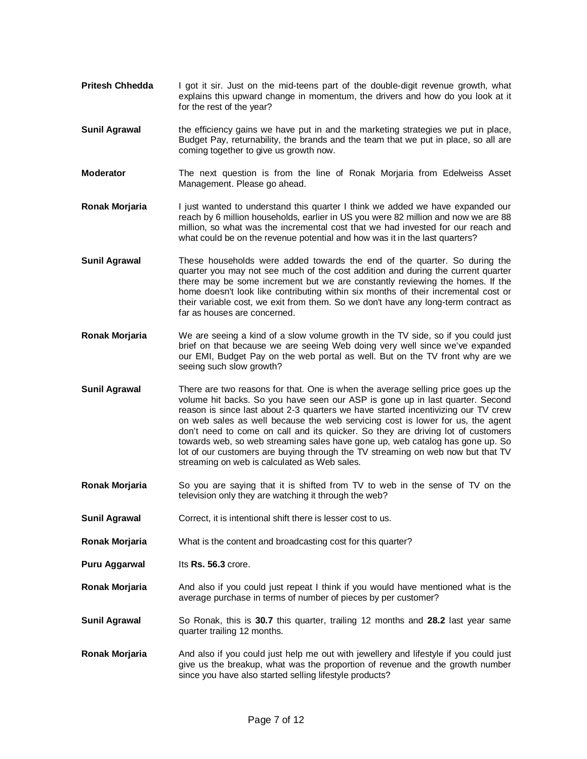- **Pritesh Chhedda** I got it sir. Just on the mid-teens part of the double-digit revenue growth, what explains this upward change in momentum, the drivers and how do you look at it for the rest of the year?
- **Sunil Agrawal** the efficiency gains we have put in and the marketing strategies we put in place, Budget Pay, returnability, the brands and the team that we put in place, so all are coming together to give us growth now.
- **Moderator** The next question is from the line of Ronak Morjaria from Edelweiss Asset Management. Please go ahead.
- **Ronak Morjaria** I just wanted to understand this quarter I think we added we have expanded our reach by 6 million households, earlier in US you were 82 million and now we are 88 million, so what was the incremental cost that we had invested for our reach and what could be on the revenue potential and how was it in the last quarters?
- **Sunil Agrawal** These households were added towards the end of the quarter. So during the quarter you may not see much of the cost addition and during the current quarter there may be some increment but we are constantly reviewing the homes. If the home doesn't look like contributing within six months of their incremental cost or their variable cost, we exit from them. So we don't have any long-term contract as far as houses are concerned.
- **Ronak Morjaria** We are seeing a kind of a slow volume growth in the TV side, so if you could just brief on that because we are seeing Web doing very well since we've expanded our EMI, Budget Pay on the web portal as well. But on the TV front why are we seeing such slow growth?
- **Sunil Agrawal** There are two reasons for that. One is when the average selling price goes up the volume hit backs. So you have seen our ASP is gone up in last quarter. Second reason is since last about 2-3 quarters we have started incentivizing our TV crew on web sales as well because the web servicing cost is lower for us, the agent don't need to come on call and its quicker. So they are driving lot of customers towards web, so web streaming sales have gone up, web catalog has gone up. So lot of our customers are buying through the TV streaming on web now but that TV streaming on web is calculated as Web sales.
- **Ronak Morjaria** So you are saying that it is shifted from TV to web in the sense of TV on the television only they are watching it through the web?
- **Sunil Agrawal Correct, it is intentional shift there is lesser cost to us.**
- **Ronak Morjaria** What is the content and broadcasting cost for this quarter?
- **Puru Aggarwal lts Rs. 56.3 crore.**
- **Ronak Morjaria** And also if you could just repeat I think if you would have mentioned what is the average purchase in terms of number of pieces by per customer?
- **Sunil Agrawal** So Ronak, this is **30.7** this quarter, trailing 12 months and **28.2** last year same quarter trailing 12 months.
- **Ronak Morjaria** And also if you could just help me out with jewellery and lifestyle if you could just give us the breakup, what was the proportion of revenue and the growth number since you have also started selling lifestyle products?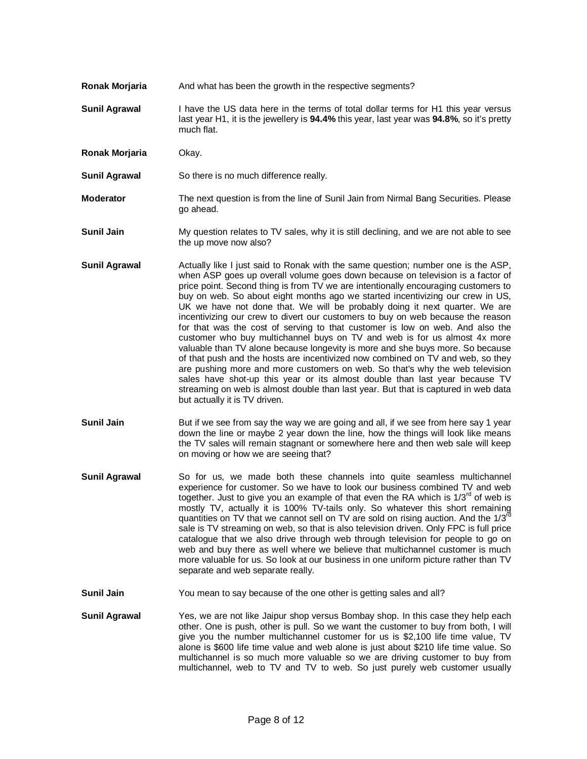- **Ronak Morjaria** And what has been the growth in the respective segments?
- **Sunil Agrawal** I have the US data here in the terms of total dollar terms for H1 this year versus last year H1, it is the jewellery is **94.4%** this year, last year was **94.8%**, so it's pretty much flat.
- **Ronak Morjaria** Okay.
- **Sunil Agrawal** So there is no much difference really.
- **Moderator** The next question is from the line of Sunil Jain from Nirmal Bang Securities. Please go ahead.
- **Sunil Jain** My question relates to TV sales, why it is still declining, and we are not able to see the up move now also?
- **Sunil Agrawal** Actually like I just said to Ronak with the same question; number one is the ASP, when ASP goes up overall volume goes down because on television is a factor of price point. Second thing is from TV we are intentionally encouraging customers to buy on web. So about eight months ago we started incentivizing our crew in US, UK we have not done that. We will be probably doing it next quarter. We are incentivizing our crew to divert our customers to buy on web because the reason for that was the cost of serving to that customer is low on web. And also the customer who buy multichannel buys on TV and web is for us almost 4x more valuable than TV alone because longevity is more and she buys more. So because of that push and the hosts are incentivized now combined on TV and web, so they are pushing more and more customers on web. So that's why the web television sales have shot-up this year or its almost double than last year because TV streaming on web is almost double than last year. But that is captured in web data but actually it is TV driven.
- **Sunil Jain** But if we see from say the way we are going and all, if we see from here say 1 year down the line or maybe 2 year down the line, how the things will look like means the TV sales will remain stagnant or somewhere here and then web sale will keep on moving or how we are seeing that?
- **Sunil Agrawal** So for us, we made both these channels into quite seamless multichannel experience for customer. So we have to look our business combined TV and web together. Just to give you an example of that even the RA which is  $1/3<sup>rd</sup>$  of web is mostly TV, actually it is 100% TV-tails only. So whatever this short remaining quantities on TV that we cannot sell on TV are sold on rising auction. And the  $1/3^{rd}$ sale is TV streaming on web, so that is also television driven. Only FPC is full price catalogue that we also drive through web through television for people to go on web and buy there as well where we believe that multichannel customer is much more valuable for us. So look at our business in one uniform picture rather than TV separate and web separate really.
- **Sunil Jain** You mean to say because of the one other is getting sales and all?
- **Sunil Agrawal** Yes, we are not like Jaipur shop versus Bombay shop. In this case they help each other. One is push, other is pull. So we want the customer to buy from both, I will give you the number multichannel customer for us is \$2,100 life time value, TV alone is \$600 life time value and web alone is just about \$210 life time value. So multichannel is so much more valuable so we are driving customer to buy from multichannel, web to TV and TV to web. So just purely web customer usually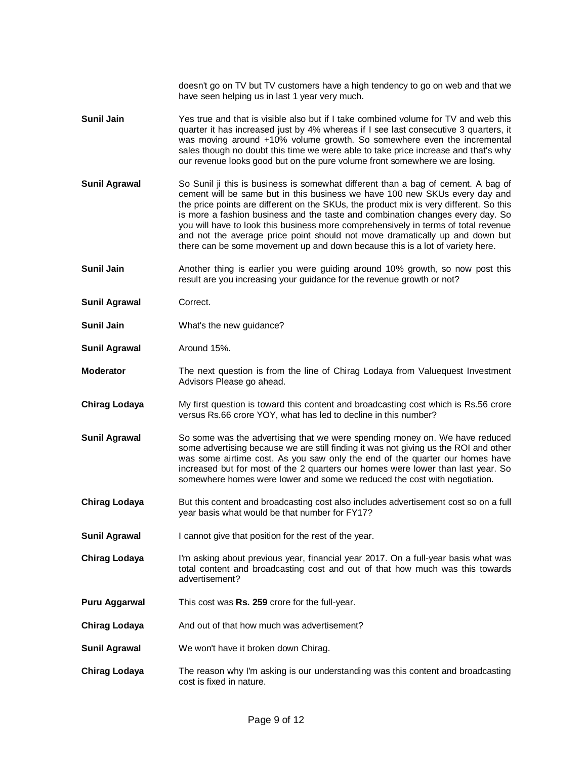doesn't go on TV but TV customers have a high tendency to go on web and that we have seen helping us in last 1 year very much.

- **Sunil Jain** Yes true and that is visible also but if I take combined volume for TV and web this quarter it has increased just by 4% whereas if I see last consecutive 3 quarters, it was moving around +10% volume growth. So somewhere even the incremental sales though no doubt this time we were able to take price increase and that's why our revenue looks good but on the pure volume front somewhere we are losing.
- **Sunil Agrawal** So Sunil ji this is business is somewhat different than a bag of cement. A bag of cement will be same but in this business we have 100 new SKUs every day and the price points are different on the SKUs, the product mix is very different. So this is more a fashion business and the taste and combination changes every day. So you will have to look this business more comprehensively in terms of total revenue and not the average price point should not move dramatically up and down but there can be some movement up and down because this is a lot of variety here.
- **Sunil Jain Another thing is earlier you were guiding around 10% growth, so now post this** result are you increasing your guidance for the revenue growth or not?
- **Sunil Agrawal Correct.**
- **Sunil Jain** What's the new guidance?
- **Sunil Agrawal Around 15%.**
- **Moderator** The next question is from the line of Chirag Lodaya from Valuequest Investment Advisors Please go ahead.
- **Chirag Lodaya** My first question is toward this content and broadcasting cost which is Rs.56 crore versus Rs.66 crore YOY, what has led to decline in this number?
- **Sunil Agrawal** So some was the advertising that we were spending money on. We have reduced some advertising because we are still finding it was not giving us the ROI and other was some airtime cost. As you saw only the end of the quarter our homes have increased but for most of the 2 quarters our homes were lower than last year. So somewhere homes were lower and some we reduced the cost with negotiation.
- **Chirag Lodaya** But this content and broadcasting cost also includes advertisement cost so on a full year basis what would be that number for FY17?
- **Sunil Agrawal** I cannot give that position for the rest of the year.
- **Chirag Lodaya** I'm asking about previous year, financial year 2017. On a full-year basis what was total content and broadcasting cost and out of that how much was this towards advertisement?
- **Puru Aggarwal** This cost was **Rs. 259** crore for the full-year.
- **Chirag Lodaya** And out of that how much was advertisement?
- **Sunil Agrawal** We won't have it broken down Chirag.
- **Chirag Lodaya** The reason why I'm asking is our understanding was this content and broadcasting cost is fixed in nature.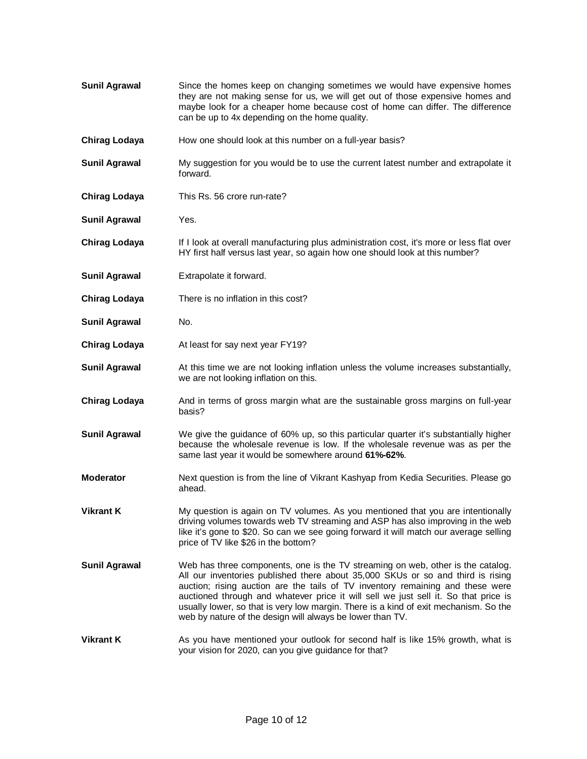- **Sunil Agrawal** Since the homes keep on changing sometimes we would have expensive homes they are not making sense for us, we will get out of those expensive homes and maybe look for a cheaper home because cost of home can differ. The difference can be up to 4x depending on the home quality.
- **Chirag Lodaya** How one should look at this number on a full-year basis?
- **Sunil Agrawal** My suggestion for you would be to use the current latest number and extrapolate it forward.
- **Chirag Lodaya** This Rs. 56 crore run-rate?
- **Sunil Agrawal** Yes.
- **Chirag Lodaya** If I look at overall manufacturing plus administration cost, it's more or less flat over HY first half versus last year, so again how one should look at this number?
- **Sunil Agrawal** Extrapolate it forward.
- **Chirag Lodaya** There is no inflation in this cost?
- **Sunil Agrawal** No.
- **Chirag Lodaya** At least for say next year FY19?
- **Sunil Agrawal** At this time we are not looking inflation unless the volume increases substantially, we are not looking inflation on this.
- **Chirag Lodaya** And in terms of gross margin what are the sustainable gross margins on full-year basis?
- **Sunil Agrawal** We give the guidance of 60% up, so this particular quarter it's substantially higher because the wholesale revenue is low. If the wholesale revenue was as per the same last year it would be somewhere around **61%-62%**.
- **Moderator** Next question is from the line of Vikrant Kashyap from Kedia Securities. Please go ahead.
- **Vikrant K** My question is again on TV volumes. As you mentioned that you are intentionally driving volumes towards web TV streaming and ASP has also improving in the web like it's gone to \$20. So can we see going forward it will match our average selling price of TV like \$26 in the bottom?
- **Sunil Agrawal** Web has three components, one is the TV streaming on web, other is the catalog. All our inventories published there about 35,000 SKUs or so and third is rising auction; rising auction are the tails of TV inventory remaining and these were auctioned through and whatever price it will sell we just sell it. So that price is usually lower, so that is very low margin. There is a kind of exit mechanism. So the web by nature of the design will always be lower than TV.
- **Vikrant K** As you have mentioned your outlook for second half is like 15% growth, what is your vision for 2020, can you give guidance for that?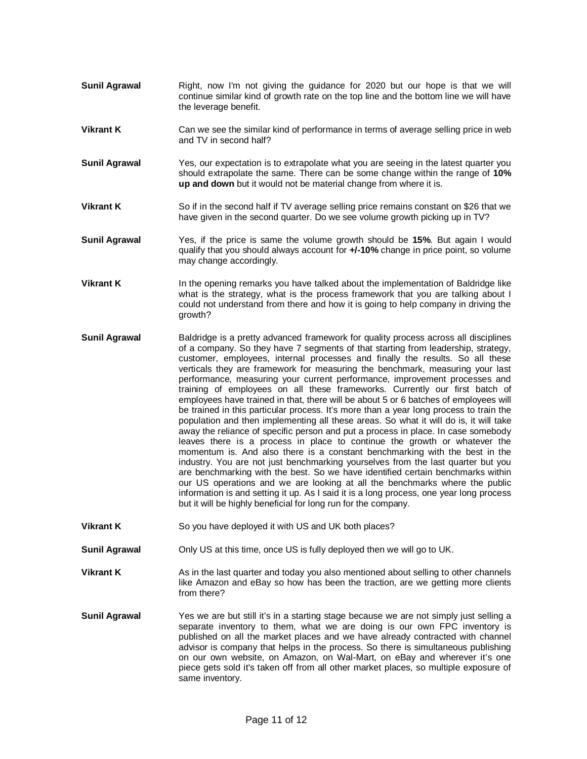- **Sunil Agrawal Right, now I'm not giving the guidance for 2020 but our hope is that we will** continue similar kind of growth rate on the top line and the bottom line we will have the leverage benefit.
- **Vikrant K** Can we see the similar kind of performance in terms of average selling price in web and TV in second half?
- **Sunil Agrawal** Yes, our expectation is to extrapolate what you are seeing in the latest quarter you should extrapolate the same. There can be some change within the range of **10% up and down** but it would not be material change from where it is.
- **Vikrant K** So if in the second half if TV average selling price remains constant on \$26 that we have given in the second quarter. Do we see volume growth picking up in TV?
- **Sunil Agrawal** Yes, if the price is same the volume growth should be **15%**. But again I would qualify that you should always account for **+/-10%** change in price point, so volume may change accordingly.
- **Vikrant K** In the opening remarks you have talked about the implementation of Baldridge like what is the strategy, what is the process framework that you are talking about I could not understand from there and how it is going to help company in driving the growth?
- **Sunil Agrawal** Baldridge is a pretty advanced framework for quality process across all disciplines of a company. So they have 7 segments of that starting from leadership, strategy, customer, employees, internal processes and finally the results. So all these verticals they are framework for measuring the benchmark, measuring your last performance, measuring your current performance, improvement processes and training of employees on all these frameworks. Currently our first batch of employees have trained in that, there will be about 5 or 6 batches of employees will be trained in this particular process. It's more than a year long process to train the population and then implementing all these areas. So what it will do is, it will take away the reliance of specific person and put a process in place. In case somebody leaves there is a process in place to continue the growth or whatever the momentum is. And also there is a constant benchmarking with the best in the industry. You are not just benchmarking yourselves from the last quarter but you are benchmarking with the best. So we have identified certain benchmarks within our US operations and we are looking at all the benchmarks where the public information is and setting it up. As I said it is a long process, one year long process but it will be highly beneficial for long run for the company.
- **Vikrant K** So you have deployed it with US and UK both places?
- **Sunil Agrawal** Only US at this time, once US is fully deployed then we will go to UK.
- **Vikrant K** As in the last quarter and today you also mentioned about selling to other channels like Amazon and eBay so how has been the traction, are we getting more clients from there?
- **Sunil Agrawal** Yes we are but still it's in a starting stage because we are not simply just selling a separate inventory to them, what we are doing is our own FPC inventory is published on all the market places and we have already contracted with channel advisor is company that helps in the process. So there is simultaneous publishing on our own website, on Amazon, on Wal-Mart, on eBay and wherever it's one piece gets sold it's taken off from all other market places, so multiple exposure of same inventory.